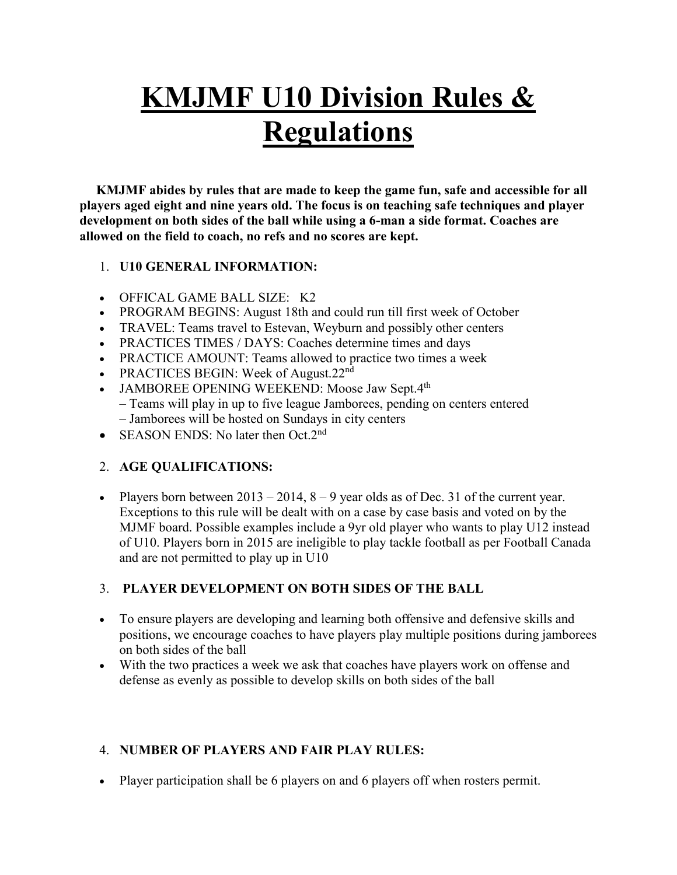# **KMJMF U10 Division Rules & Regulations**

 **KMJMF abides by rules that are made to keep the game fun, safe and accessible for all players aged eight and nine years old. The focus is on teaching safe techniques and player development on both sides of the ball while using a 6-man a side format. Coaches are allowed on the field to coach, no refs and no scores are kept.**

## 1. **U10 GENERAL INFORMATION:**

- OFFICAL GAME BALL SIZE: K2
- PROGRAM BEGINS: August 18th and could run till first week of October
- TRAVEL: Teams travel to Estevan, Weyburn and possibly other centers
- PRACTICES TIMES / DAYS: Coaches determine times and days
- PRACTICE AMOUNT: Teams allowed to practice two times a week
- PRACTICES BEGIN: Week of August.22<sup>nd</sup>
- JAMBOREE OPENING WEEKEND: Moose Jaw Sept. $4<sup>th</sup>$ – Teams will play in up to five league Jamborees, pending on centers entered – Jamborees will be hosted on Sundays in city centers
- SEASON ENDS: No later then Oct.2<sup>nd</sup>

## 2. **AGE QUALIFICATIONS:**

• Players born between  $2013 - 2014$ ,  $8 - 9$  year olds as of Dec. 31 of the current year. Exceptions to this rule will be dealt with on a case by case basis and voted on by the MJMF board. Possible examples include a 9yr old player who wants to play U12 instead of U10. Players born in 2015 are ineligible to play tackle football as per Football Canada and are not permitted to play up in U10

## 3. **PLAYER DEVELOPMENT ON BOTH SIDES OF THE BALL**

- To ensure players are developing and learning both offensive and defensive skills and positions, we encourage coaches to have players play multiple positions during jamborees on both sides of the ball
- With the two practices a week we ask that coaches have players work on offense and defense as evenly as possible to develop skills on both sides of the ball

## 4. **NUMBER OF PLAYERS AND FAIR PLAY RULES:**

• Player participation shall be 6 players on and 6 players off when rosters permit.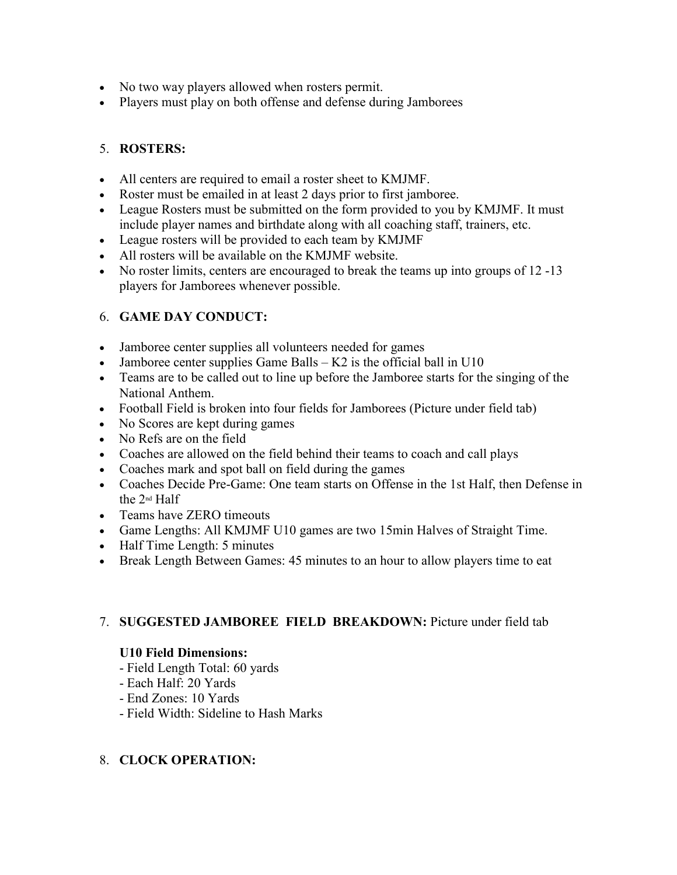- No two way players allowed when rosters permit.
- Players must play on both offense and defense during Jamborees

# 5. **ROSTERS:**

- All centers are required to email a roster sheet to KMJMF.
- Roster must be emailed in at least 2 days prior to first jamboree.
- League Rosters must be submitted on the form provided to you by KMJMF. It must include player names and birthdate along with all coaching staff, trainers, etc.
- League rosters will be provided to each team by KMJMF
- All rosters will be available on the KMJMF website.
- No roster limits, centers are encouraged to break the teams up into groups of 12 -13 players for Jamborees whenever possible.

# 6. **GAME DAY CONDUCT:**

- Jamboree center supplies all volunteers needed for games
- Jamboree center supplies Game Balls  $K2$  is the official ball in U10
- Teams are to be called out to line up before the Jamboree starts for the singing of the National Anthem.
- Football Field is broken into four fields for Jamborees (Picture under field tab)
- No Scores are kept during games
- No Refs are on the field
- Coaches are allowed on the field behind their teams to coach and call plays
- Coaches mark and spot ball on field during the games
- Coaches Decide Pre-Game: One team starts on Offense in the 1st Half, then Defense in the 2nd Half
- Teams have ZERO timeouts
- Game Lengths: All KMJMF U10 games are two 15min Halves of Straight Time.
- Half Time Length: 5 minutes
- Break Length Between Games: 45 minutes to an hour to allow players time to eat

# 7. **SUGGESTED JAMBOREE FIELD BREAKDOWN:** Picture under field tab

## **U10 Field Dimensions:**

- Field Length Total: 60 yards
- Each Half: 20 Yards
- End Zones: 10 Yards
- Field Width: Sideline to Hash Marks

# 8. **CLOCK OPERATION:**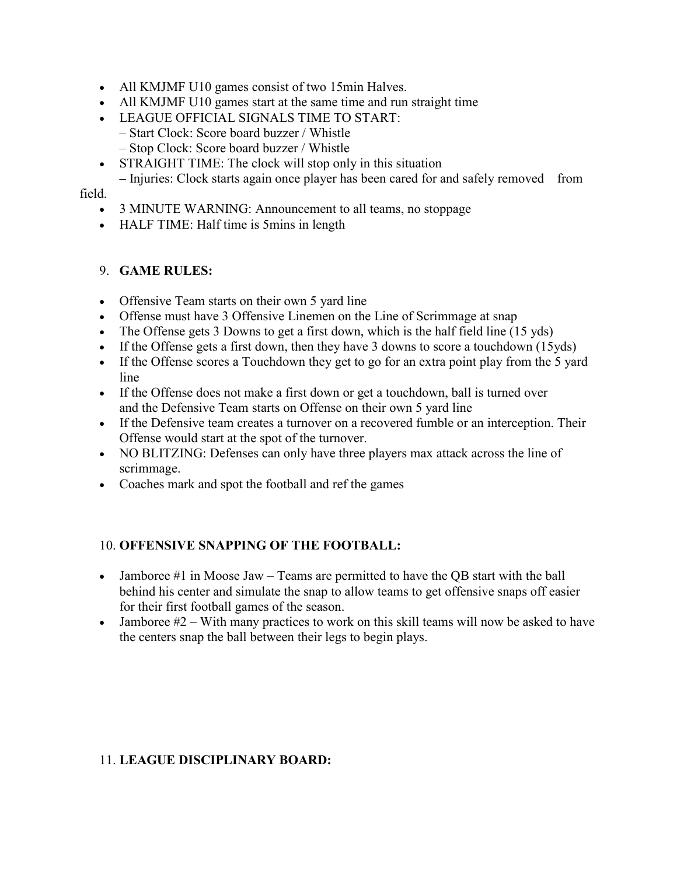- All KMJMF U10 games consist of two 15min Halves.
- All KMJMF U10 games start at the same time and run straight time
- LEAGUE OFFICIAL SIGNALS TIME TO START: – Start Clock: Score board buzzer / Whistle
	- Stop Clock: Score board buzzer / Whistle
- STRAIGHT TIME: The clock will stop only in this situation
- **–** Injuries: Clock starts again once player has been cared for and safely removed from field.

#### • 3 MINUTE WARNING: Announcement to all teams, no stoppage

• HALF TIME: Half time is 5mins in length

#### 9. **GAME RULES:**

- Offensive Team starts on their own 5 yard line
- Offense must have 3 Offensive Linemen on the Line of Scrimmage at snap
- The Offense gets 3 Downs to get a first down, which is the half field line (15 yds)
- If the Offense gets a first down, then they have 3 downs to score a touchdown (15yds)
- If the Offense scores a Touchdown they get to go for an extra point play from the 5 yard line
- If the Offense does not make a first down or get a touchdown, ball is turned over and the Defensive Team starts on Offense on their own 5 yard line
- If the Defensive team creates a turnover on a recovered fumble or an interception. Their Offense would start at the spot of the turnover.
- NO BLITZING: Defenses can only have three players max attack across the line of scrimmage.
- Coaches mark and spot the football and ref the games

#### 10. **OFFENSIVE SNAPPING OF THE FOOTBALL:**

- Jamboree #1 in Moose Jaw Teams are permitted to have the QB start with the ball behind his center and simulate the snap to allow teams to get offensive snaps off easier for their first football games of the season.
- Jamboree  $#2 -$  With many practices to work on this skill teams will now be asked to have the centers snap the ball between their legs to begin plays.

#### 11. **LEAGUE DISCIPLINARY BOARD:**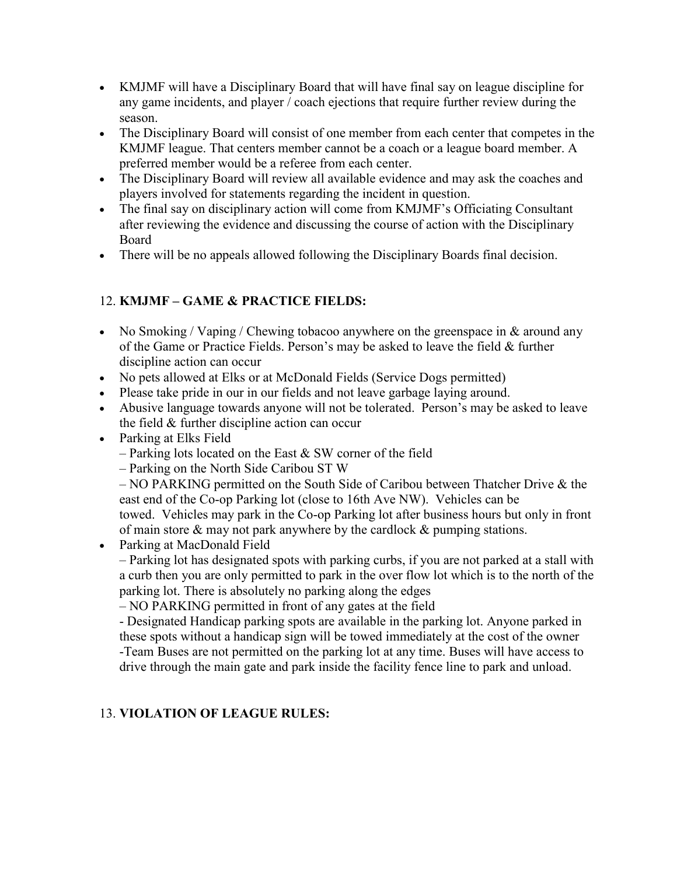- KMJMF will have a Disciplinary Board that will have final say on league discipline for any game incidents, and player / coach ejections that require further review during the season.
- The Disciplinary Board will consist of one member from each center that competes in the KMJMF league. That centers member cannot be a coach or a league board member. A preferred member would be a referee from each center.
- The Disciplinary Board will review all available evidence and may ask the coaches and players involved for statements regarding the incident in question.
- The final say on disciplinary action will come from KMJMF's Officiating Consultant after reviewing the evidence and discussing the course of action with the Disciplinary Board
- There will be no appeals allowed following the Disciplinary Boards final decision.

# 12. **KMJMF – GAME & PRACTICE FIELDS:**

- No Smoking / Vaping / Chewing tobacoo anywhere on the greenspace in  $&$  around any of the Game or Practice Fields. Person's may be asked to leave the field & further discipline action can occur
- No pets allowed at Elks or at McDonald Fields (Service Dogs permitted)
- Please take pride in our in our fields and not leave garbage laying around.
- Abusive language towards anyone will not be tolerated. Person's may be asked to leave the field & further discipline action can occur
- Parking at Elks Field
	- Parking lots located on the East  $&$  SW corner of the field
	- Parking on the North Side Caribou ST W

– NO PARKING permitted on the South Side of Caribou between Thatcher Drive & the east end of the Co-op Parking lot (close to 16th Ave NW). Vehicles can be towed. Vehicles may park in the Co-op Parking lot after business hours but only in front of main store & may not park anywhere by the cardlock & pumping stations.

• Parking at MacDonald Field

– Parking lot has designated spots with parking curbs, if you are not parked at a stall with a curb then you are only permitted to park in the over flow lot which is to the north of the parking lot. There is absolutely no parking along the edges

– NO PARKING permitted in front of any gates at the field

- Designated Handicap parking spots are available in the parking lot. Anyone parked in these spots without a handicap sign will be towed immediately at the cost of the owner -Team Buses are not permitted on the parking lot at any time. Buses will have access to drive through the main gate and park inside the facility fence line to park and unload.

# 13. **VIOLATION OF LEAGUE RULES:**